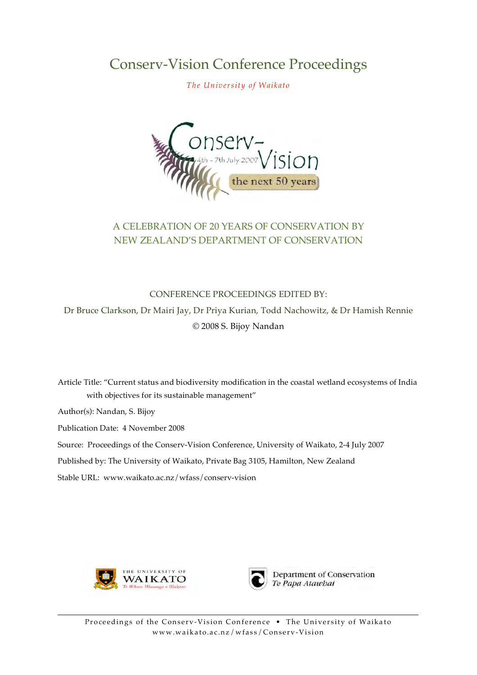**Conserv-Vision Conference Proceedings** 

The University of Waikato



# A CELEBRATION OF 20 YEARS OF CONSERVATION BY NEW ZEALAND'S DEPARTMENT OF CONSERVATION

**CONFERENCE PROCEEDINGS EDITED BY:** Dr Bruce Clarkson, Dr Mairi Jay, Dr Priya Kurian, Todd Nachowitz, & Dr Hamish Rennie © 2008 S. Bijoy Nandan

Article Title: "Current status and biodiversity modification in the coastal wetland ecosystems of India with objectives for its sustainable management"

Author(s): Nandan, S. Bijov

Publication Date: 4 November 2008

Source: Proceedings of the Conserv-Vision Conference, University of Waikato, 2-4 July 2007

Published by: The University of Waikato, Private Bag 3105, Hamilton, New Zealand

Stable URL: www.waikato.ac.nz/wfass/conserv-vision





Department of Conservation Te Papa Atawhai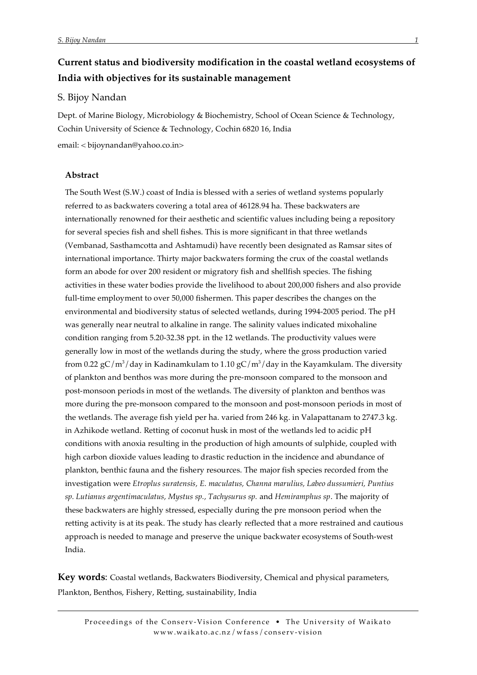# **Current status and biodiversity modification in the coastal wetland ecosystems of India with objectives for its sustainable management**

# S. Bijoy Nandan

Dept. of Marine Biology, Microbiology & Biochemistry, School of Ocean Science & Technology, Cochin University of Science & Technology, Cochin 6820 16, India

email: < bijoynandan@yahoo.co.in>

# **Abstract**

The South West (S.W.) coast of India is blessed with a series of wetland systems popularly referred to as backwaters covering a total area of 46128.94 ha. These backwaters are internationally renowned for their aesthetic and scientific values including being a repository for several species fish and shell fishes. This is more significant in that three wetlands (Vembanad, Sasthamcotta and Ashtamudi) have recently been designated as Ramsar sites of international importance. Thirty major backwaters forming the crux of the coastal wetlands form an abode for over 200 resident or migratory fish and shellfish species. The fishing activities in these water bodies provide the livelihood to about 200,000 fishers and also provide full-time employment to over 50,000 fishermen. This paper describes the changes on the environmental and biodiversity status of selected wetlands, during 1994-2005 period. The pH was generally near neutral to alkaline in range. The salinity values indicated mixohaline condition ranging from 5.20-32.38 ppt. in the 12 wetlands. The productivity values were generally low in most of the wetlands during the study, where the gross production varied from 0.22 gC/m<sup>3</sup>/day in Kadinamkulam to 1.10 gC/m<sup>3</sup>/day in the Kayamkulam. The diversity of plankton and benthos was more during the pre-monsoon compared to the monsoon and post-monsoon periods in most of the wetlands. The diversity of plankton and benthos was more during the pre-monsoon compared to the monsoon and post-monsoon periods in most of the wetlands. The average fish yield per ha. varied from 246 kg. in Valapattanam to 2747.3 kg. in Azhikode wetland. Retting of coconut husk in most of the wetlands led to acidic pH conditions with anoxia resulting in the production of high amounts of sulphide, coupled with high carbon dioxide values leading to drastic reduction in the incidence and abundance of plankton, benthic fauna and the fishery resources. The major fish species recorded from the investigation were *Etroplus suratensis, E. maculatus, Channa marulius, Labeo dussumieri, Puntius sp. Lutianus argentimaculatus, Mystus sp., Tachysurus sp.* and *Hemiramphus sp*. The majority of these backwaters are highly stressed, especially during the pre monsoon period when the retting activity is at its peak. The study has clearly reflected that a more restrained and cautious approach is needed to manage and preserve the unique backwater ecosystems of South-west India.

**Key words**: Coastal wetlands, Backwaters Biodiversity, Chemical and physical parameters, Plankton, Benthos, Fishery, Retting, sustainability, India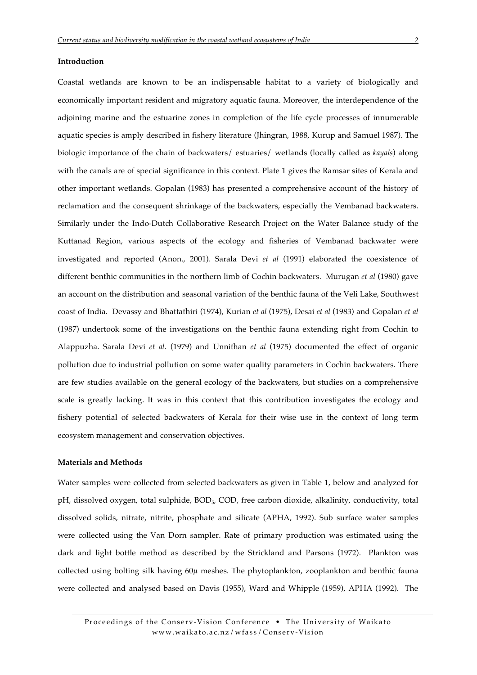## **Introduction**

Coastal wetlands are known to be an indispensable habitat to a variety of biologically and economically important resident and migratory aquatic fauna. Moreover, the interdependence of the adjoining marine and the estuarine zones in completion of the life cycle processes of innumerable aquatic species is amply described in fishery literature (Jhingran, 1988, Kurup and Samuel 1987). The biologic importance of the chain of backwaters/ estuaries/ wetlands (locally called as *kayals*) along with the canals are of special significance in this context. Plate 1 gives the Ramsar sites of Kerala and other important wetlands. Gopalan (1983) has presented a comprehensive account of the history of reclamation and the consequent shrinkage of the backwaters, especially the Vembanad backwaters. Similarly under the Indo-Dutch Collaborative Research Project on the Water Balance study of the Kuttanad Region, various aspects of the ecology and fisheries of Vembanad backwater were investigated and reported (Anon., 2001). Sarala Devi *et al* (1991) elaborated the coexistence of different benthic communities in the northern limb of Cochin backwaters. Murugan *et al* (1980) gave an account on the distribution and seasonal variation of the benthic fauna of the Veli Lake, Southwest coast of India. Devassy and Bhattathiri (1974), Kurian *et al* (1975), Desai *et al* (1983) and Gopalan *et al*  (1987) undertook some of the investigations on the benthic fauna extending right from Cochin to Alappuzha. Sarala Devi *et al*. (1979) and Unnithan *et al* (1975) documented the effect of organic pollution due to industrial pollution on some water quality parameters in Cochin backwaters. There are few studies available on the general ecology of the backwaters, but studies on a comprehensive scale is greatly lacking. It was in this context that this contribution investigates the ecology and fishery potential of selected backwaters of Kerala for their wise use in the context of long term ecosystem management and conservation objectives.

### **Materials and Methods**

Water samples were collected from selected backwaters as given in Table 1, below and analyzed for pH, dissolved oxygen, total sulphide, BOD<sub>5</sub>, COD, free carbon dioxide, alkalinity, conductivity, total dissolved solids, nitrate, nitrite, phosphate and silicate (APHA, 1992). Sub surface water samples were collected using the Van Dorn sampler. Rate of primary production was estimated using the dark and light bottle method as described by the Strickland and Parsons (1972). Plankton was collected using bolting silk having  $60\mu$  meshes. The phytoplankton, zooplankton and benthic fauna were collected and analysed based on Davis (1955), Ward and Whipple (1959), APHA (1992). The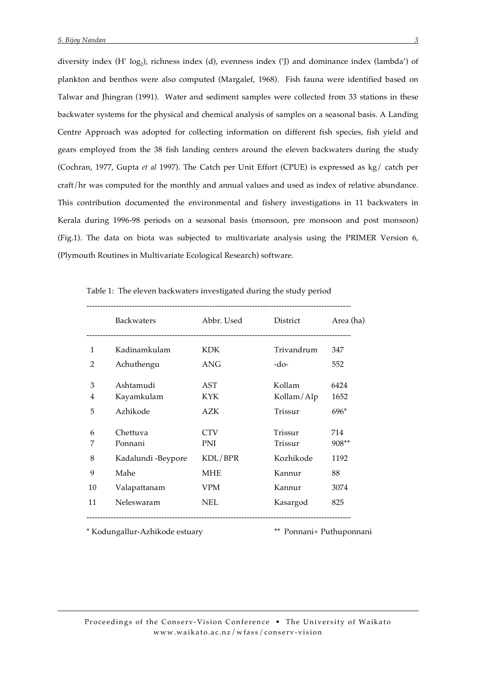diversity index  $(H' \log_2)$ , richness index  $(d)$ , evenness index  $('J)$  and dominance index (lambda') of plankton and benthos were also computed (Margalef, 1968). Fish fauna were identified based on Talwar and Jhingran (1991). Water and sediment samples were collected from 33 stations in these backwater systems for the physical and chemical analysis of samples on a seasonal basis. A Landing Centre Approach was adopted for collecting information on different fish species, fish yield and gears employed from the 38 fish landing centers around the eleven backwaters during the study (Cochran, 1977, Gupta *et al* 1997). The Catch per Unit Effort (CPUE) is expressed as kg/ catch per craft/hr was computed for the monthly and annual values and used as index of relative abundance. This contribution documented the environmental and fishery investigations in 11 backwaters in Kerala during 1996-98 periods on a seasonal basis (monsoon, pre monsoon and post monsoon) (Fig.1). The data on biota was subjected to multivariate analysis using the PRIMER Version 6, (Plymouth Routines in Multivariate Ecological Research) software.

|    | <b>Backwaters</b>  | Abbr. Used | District   | Area (ha) |
|----|--------------------|------------|------------|-----------|
| 1  | Kadinamkulam       | KDK.       | Trivandrum | 347       |
| 2  | Achuthengu         | ANG        | -do-       | 552       |
| 3  | Ashtamudi          | AST        | Kollam     | 6424      |
| 4  | Kayamkulam         | <b>KYK</b> | Kollam/Alp | 1652      |
| 5  | Azhikode           | AZK        | Trissur    | $696*$    |
| 6  | Chettuva           | <b>CTV</b> | Trissur    | 714       |
| 7  | Ponnani            | PNI        | Trissur    | 908**     |
| 8  | Kadalundi -Beypore | KDL/BPR    | Kozhikode  | 1192      |
| 9  | Mahe               | <b>MHE</b> | Kannur     | 88        |
| 10 | Valapattanam       | VPM        | Kannur     | 3074      |
| 11 | Neleswaram         | <b>NEL</b> | Kasargod   | 825       |

Table 1: The eleven backwaters investigated during the study period

\* Kodungallur-Azhikode estuary \*\* Ponnani+ Puthuponnani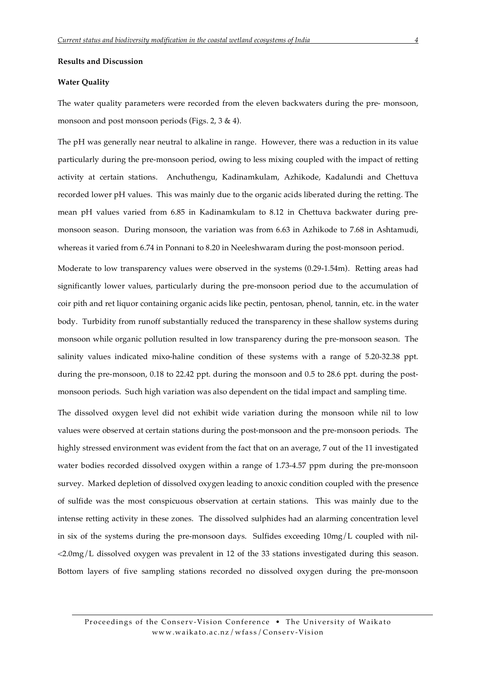#### **Results and Discussion**

#### **Water Quality**

The water quality parameters were recorded from the eleven backwaters during the pre- monsoon, monsoon and post monsoon periods (Figs. 2, 3 & 4).

The pH was generally near neutral to alkaline in range. However, there was a reduction in its value particularly during the pre-monsoon period, owing to less mixing coupled with the impact of retting activity at certain stations. Anchuthengu, Kadinamkulam, Azhikode, Kadalundi and Chettuva recorded lower pH values. This was mainly due to the organic acids liberated during the retting. The mean pH values varied from 6.85 in Kadinamkulam to 8.12 in Chettuva backwater during premonsoon season. During monsoon, the variation was from 6.63 in Azhikode to 7.68 in Ashtamudi, whereas it varied from 6.74 in Ponnani to 8.20 in Neeleshwaram during the post-monsoon period.

Moderate to low transparency values were observed in the systems (0.29-1.54m). Retting areas had significantly lower values, particularly during the pre-monsoon period due to the accumulation of coir pith and ret liquor containing organic acids like pectin, pentosan, phenol, tannin, etc. in the water body. Turbidity from runoff substantially reduced the transparency in these shallow systems during monsoon while organic pollution resulted in low transparency during the pre-monsoon season. The salinity values indicated mixo-haline condition of these systems with a range of 5.20-32.38 ppt. during the pre-monsoon, 0.18 to 22.42 ppt. during the monsoon and 0.5 to 28.6 ppt. during the postmonsoon periods. Such high variation was also dependent on the tidal impact and sampling time.

The dissolved oxygen level did not exhibit wide variation during the monsoon while nil to low values were observed at certain stations during the post-monsoon and the pre-monsoon periods. The highly stressed environment was evident from the fact that on an average, 7 out of the 11 investigated water bodies recorded dissolved oxygen within a range of 1.73-4.57 ppm during the pre-monsoon survey. Marked depletion of dissolved oxygen leading to anoxic condition coupled with the presence of sulfide was the most conspicuous observation at certain stations. This was mainly due to the intense retting activity in these zones. The dissolved sulphides had an alarming concentration level in six of the systems during the pre-monsoon days. Sulfides exceeding  $10mg/L$  coupled with nil-<2.0mg/L dissolved oxygen was prevalent in 12 of the 33 stations investigated during this season. Bottom layers of five sampling stations recorded no dissolved oxygen during the pre-monsoon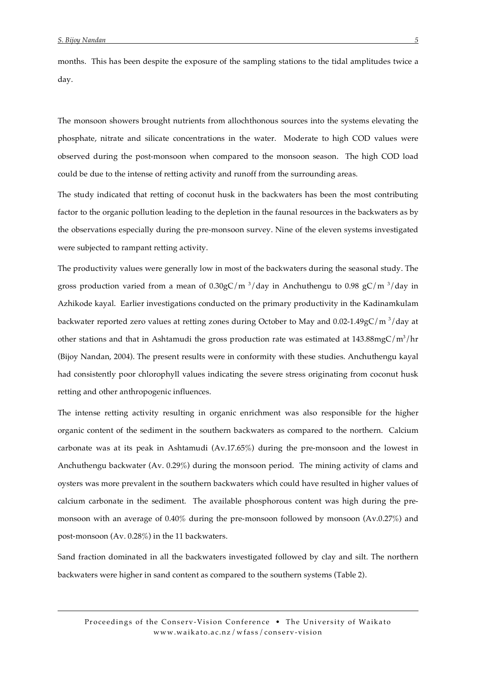months. This has been despite the exposure of the sampling stations to the tidal amplitudes twice a day.

The monsoon showers brought nutrients from allochthonous sources into the systems elevating the phosphate, nitrate and silicate concentrations in the water. Moderate to high COD values were observed during the post-monsoon when compared to the monsoon season. The high COD load could be due to the intense of retting activity and runoff from the surrounding areas.

The study indicated that retting of coconut husk in the backwaters has been the most contributing factor to the organic pollution leading to the depletion in the faunal resources in the backwaters as by the observations especially during the pre-monsoon survey. Nine of the eleven systems investigated were subjected to rampant retting activity.

The productivity values were generally low in most of the backwaters during the seasonal study. The gross production varied from a mean of  $0.30$ gC/m  $3$ /day in Anchuthengu to  $0.98$  gC/m  $3$ /day in Azhikode kayal. Earlier investigations conducted on the primary productivity in the Kadinamkulam backwater reported zero values at retting zones during October to May and  $0.02$ -1.49gC/m  $\frac{3}{day}$  at other stations and that in Ashtamudi the gross production rate was estimated at  $143.88mgC/m<sup>3</sup>/hr$ (Bijoy Nandan, 2004). The present results were in conformity with these studies. Anchuthengu kayal had consistently poor chlorophyll values indicating the severe stress originating from coconut husk retting and other anthropogenic influences.

The intense retting activity resulting in organic enrichment was also responsible for the higher organic content of the sediment in the southern backwaters as compared to the northern. Calcium carbonate was at its peak in Ashtamudi (Av.17.65%) during the pre-monsoon and the lowest in Anchuthengu backwater (Av. 0.29%) during the monsoon period. The mining activity of clams and oysters was more prevalent in the southern backwaters which could have resulted in higher values of calcium carbonate in the sediment. The available phosphorous content was high during the premonsoon with an average of 0.40% during the pre-monsoon followed by monsoon (Av.0.27%) and post-monsoon (Av. 0.28%) in the 11 backwaters.

Sand fraction dominated in all the backwaters investigated followed by clay and silt. The northern backwaters were higher in sand content as compared to the southern systems (Table 2).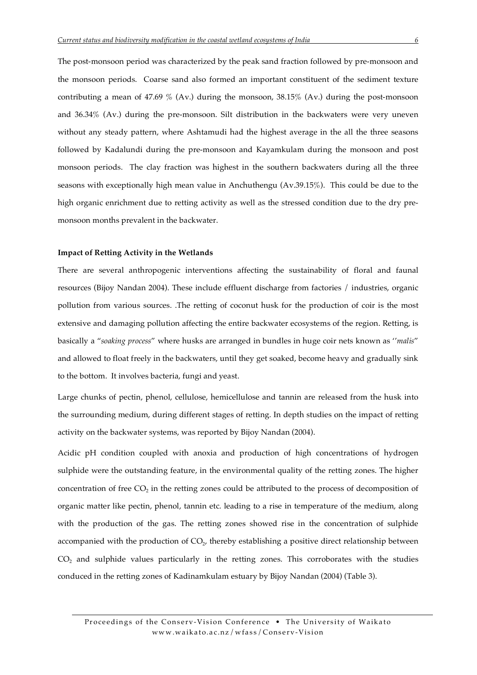The post-monsoon period was characterized by the peak sand fraction followed by pre-monsoon and the monsoon periods. Coarse sand also formed an important constituent of the sediment texture contributing a mean of 47.69 % (Av.) during the monsoon, 38.15% (Av.) during the post-monsoon and 36.34% (Av.) during the pre-monsoon. Silt distribution in the backwaters were very uneven without any steady pattern, where Ashtamudi had the highest average in the all the three seasons followed by Kadalundi during the pre-monsoon and Kayamkulam during the monsoon and post monsoon periods. The clay fraction was highest in the southern backwaters during all the three seasons with exceptionally high mean value in Anchuthengu (Av.39.15%). This could be due to the high organic enrichment due to retting activity as well as the stressed condition due to the dry premonsoon months prevalent in the backwater.

#### **Impact of Retting Activity in the Wetlands**

There are several anthropogenic interventions affecting the sustainability of floral and faunal resources (Bijoy Nandan 2004). These include effluent discharge from factories / industries, organic pollution from various sources. .The retting of coconut husk for the production of coir is the most extensive and damaging pollution affecting the entire backwater ecosystems of the region. Retting, is basically a "*soaking process*" where husks are arranged in bundles in huge coir nets known as ''*malis*" and allowed to float freely in the backwaters, until they get soaked, become heavy and gradually sink to the bottom. It involves bacteria, fungi and yeast.

Large chunks of pectin, phenol, cellulose, hemicellulose and tannin are released from the husk into the surrounding medium, during different stages of retting. In depth studies on the impact of retting activity on the backwater systems, was reported by Bijoy Nandan (2004).

Acidic pH condition coupled with anoxia and production of high concentrations of hydrogen sulphide were the outstanding feature, in the environmental quality of the retting zones. The higher concentration of free CO<sub>2</sub> in the retting zones could be attributed to the process of decomposition of organic matter like pectin, phenol, tannin etc. leading to a rise in temperature of the medium, along with the production of the gas. The retting zones showed rise in the concentration of sulphide accompanied with the production of  $CO<sub>2</sub>$ , thereby establishing a positive direct relationship between  $CO<sub>2</sub>$  and sulphide values particularly in the retting zones. This corroborates with the studies conduced in the retting zones of Kadinamkulam estuary by Bijoy Nandan (2004) (Table 3).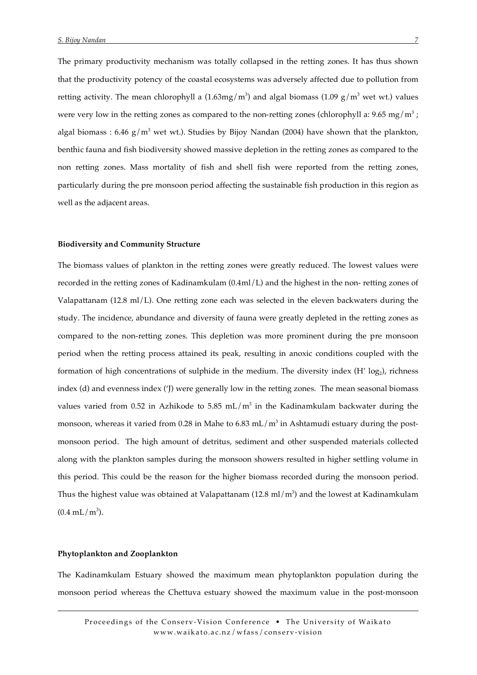The primary productivity mechanism was totally collapsed in the retting zones. It has thus shown that the productivity potency of the coastal ecosystems was adversely affected due to pollution from retting activity. The mean chlorophyll a  $(1.63mg/m<sup>3</sup>)$  and algal biomass  $(1.09\ g/m<sup>3</sup>$  wet wt.) values were very low in the retting zones as compared to the non-retting zones (chlorophyll a: 9.65 mg/m<sup>3</sup>; algal biomass :  $6.46$  g/m<sup>3</sup> wet wt.). Studies by Bijoy Nandan (2004) have shown that the plankton, benthic fauna and fish biodiversity showed massive depletion in the retting zones as compared to the non retting zones. Mass mortality of fish and shell fish were reported from the retting zones, particularly during the pre monsoon period affecting the sustainable fish production in this region as well as the adjacent areas.

#### **Biodiversity and Community Structure**

The biomass values of plankton in the retting zones were greatly reduced. The lowest values were recorded in the retting zones of Kadinamkulam (0.4ml/L) and the highest in the non- retting zones of Valapattanam (12.8 ml/L). One retting zone each was selected in the eleven backwaters during the study. The incidence, abundance and diversity of fauna were greatly depleted in the retting zones as compared to the non-retting zones. This depletion was more prominent during the pre monsoon period when the retting process attained its peak, resulting in anoxic conditions coupled with the formation of high concentrations of sulphide in the medium. The diversity index  $(H' \log_2)$ , richness index (d) and evenness index ('J) were generally low in the retting zones. The mean seasonal biomass values varied from 0.52 in Azhikode to 5.85 mL/ $m<sup>3</sup>$  in the Kadinamkulam backwater during the monsoon, whereas it varied from 0.28 in Mahe to 6.83 mL/m<sup>3</sup> in Ashtamudi estuary during the postmonsoon period. The high amount of detritus, sediment and other suspended materials collected along with the plankton samples during the monsoon showers resulted in higher settling volume in this period. This could be the reason for the higher biomass recorded during the monsoon period. Thus the highest value was obtained at Valapattanam (12.8 ml/m<sup>3</sup>) and the lowest at Kadinamkulam  $(0.4 \text{ mL/m}^3)$ .

#### **Phytoplankton and Zooplankton**

The Kadinamkulam Estuary showed the maximum mean phytoplankton population during the monsoon period whereas the Chettuva estuary showed the maximum value in the post-monsoon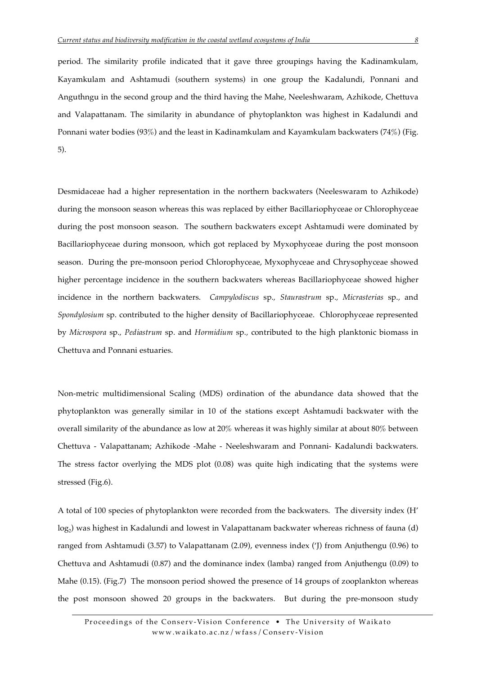period. The similarity profile indicated that it gave three groupings having the Kadinamkulam, Kayamkulam and Ashtamudi (southern systems) in one group the Kadalundi, Ponnani and Anguthngu in the second group and the third having the Mahe, Neeleshwaram, Azhikode, Chettuva and Valapattanam. The similarity in abundance of phytoplankton was highest in Kadalundi and Ponnani water bodies (93%) and the least in Kadinamkulam and Kayamkulam backwaters (74%) (Fig. 5).

Desmidaceae had a higher representation in the northern backwaters (Neeleswaram to Azhikode) during the monsoon season whereas this was replaced by either Bacillariophyceae or Chlorophyceae during the post monsoon season. The southern backwaters except Ashtamudi were dominated by Bacillariophyceae during monsoon, which got replaced by Myxophyceae during the post monsoon season. During the pre-monsoon period Chlorophyceae, Myxophyceae and Chrysophyceae showed higher percentage incidence in the southern backwaters whereas Bacillariophyceae showed higher incidence in the northern backwaters. *Campylodiscus* sp.*, Staurastrum* sp.*, Micrasterias* sp.*,* and *Spondylosium* sp. contributed to the higher density of Bacillariophyceae. Chlorophyceae represented by *Microspora* sp.*, Pediastrum* sp. and *Hormidium* sp.*,* contributed to the high planktonic biomass in Chettuva and Ponnani estuaries.

Non-metric multidimensional Scaling (MDS) ordination of the abundance data showed that the phytoplankton was generally similar in 10 of the stations except Ashtamudi backwater with the overall similarity of the abundance as low at 20% whereas it was highly similar at about 80% between Chettuva - Valapattanam; Azhikode -Mahe - Neeleshwaram and Ponnani- Kadalundi backwaters. The stress factor overlying the MDS plot (0.08) was quite high indicating that the systems were stressed (Fig.6).

A total of 100 species of phytoplankton were recorded from the backwaters. The diversity index (H' log<sub>2</sub>) was highest in Kadalundi and lowest in Valapattanam backwater whereas richness of fauna (d) ranged from Ashtamudi (3.57) to Valapattanam (2.09), evenness index ('J) from Anjuthengu (0.96) to Chettuva and Ashtamudi (0.87) and the dominance index (lamba) ranged from Anjuthengu (0.09) to Mahe (0.15). (Fig.7) The monsoon period showed the presence of 14 groups of zooplankton whereas the post monsoon showed 20 groups in the backwaters. But during the pre-monsoon study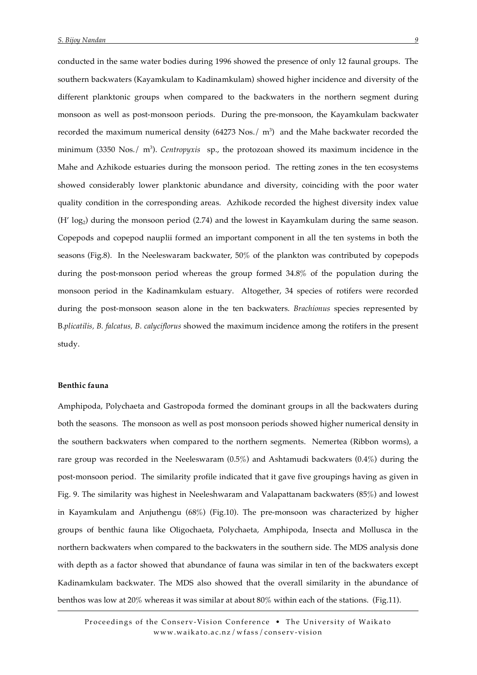conducted in the same water bodies during 1996 showed the presence of only 12 faunal groups. The southern backwaters (Kayamkulam to Kadinamkulam) showed higher incidence and diversity of the different planktonic groups when compared to the backwaters in the northern segment during monsoon as well as post-monsoon periods. During the pre-monsoon, the Kayamkulam backwater recorded the maximum numerical density  $(64273 \text{ Nos.}/ \text{m}^3)$  and the Mahe backwater recorded the minimum (3350 Nos./ m<sup>3</sup>). *Centropyxis* sp., the protozoan showed its maximum incidence in the Mahe and Azhikode estuaries during the monsoon period. The retting zones in the ten ecosystems showed considerably lower planktonic abundance and diversity, coinciding with the poor water quality condition in the corresponding areas. Azhikode recorded the highest diversity index value  $(H' \log_2)$  during the monsoon period (2.74) and the lowest in Kayamkulam during the same season. Copepods and copepod nauplii formed an important component in all the ten systems in both the seasons (Fig.8). In the Neeleswaram backwater, 50% of the plankton was contributed by copepods during the post-monsoon period whereas the group formed 34.8% of the population during the monsoon period in the Kadinamkulam estuary. Altogether, 34 species of rotifers were recorded during the post-monsoon season alone in the ten backwaters. *Brachionus* species represented by B.*plicatilis, B. falcatus, B. calyciflorus* showed the maximum incidence among the rotifers in the present study.

## **Benthic fauna**

Amphipoda, Polychaeta and Gastropoda formed the dominant groups in all the backwaters during both the seasons. The monsoon as well as post monsoon periods showed higher numerical density in the southern backwaters when compared to the northern segments. Nemertea (Ribbon worms), a rare group was recorded in the Neeleswaram (0.5%) and Ashtamudi backwaters (0.4%) during the post-monsoon period. The similarity profile indicated that it gave five groupings having as given in Fig. 9. The similarity was highest in Neeleshwaram and Valapattanam backwaters (85%) and lowest in Kayamkulam and Anjuthengu (68%) (Fig.10). The pre-monsoon was characterized by higher groups of benthic fauna like Oligochaeta, Polychaeta, Amphipoda, Insecta and Mollusca in the northern backwaters when compared to the backwaters in the southern side. The MDS analysis done with depth as a factor showed that abundance of fauna was similar in ten of the backwaters except Kadinamkulam backwater. The MDS also showed that the overall similarity in the abundance of benthos was low at 20% whereas it was similar at about 80% within each of the stations. (Fig.11).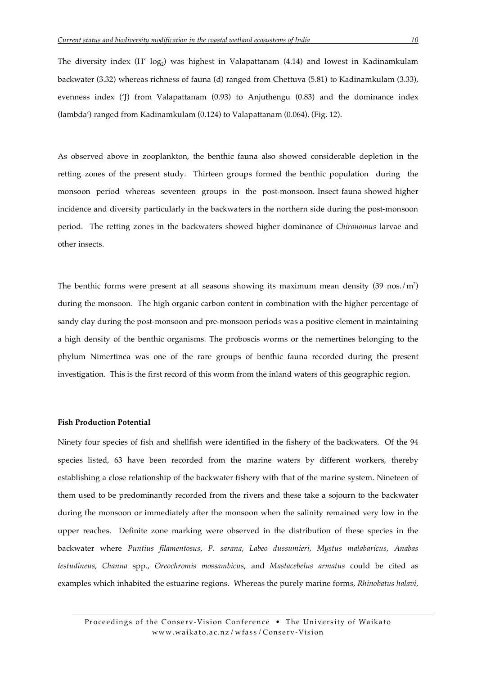The diversity index  $(H' \log_2)$  was highest in Valapattanam (4.14) and lowest in Kadinamkulam backwater (3.32) whereas richness of fauna (d) ranged from Chettuva (5.81) to Kadinamkulam (3.33), evenness index ('J) from Valapattanam (0.93) to Anjuthengu (0.83) and the dominance index (lambda') ranged from Kadinamkulam (0.124) to Valapattanam (0.064). (Fig. 12).

As observed above in zooplankton, the benthic fauna also showed considerable depletion in the retting zones of the present study. Thirteen groups formed the benthic population during the monsoon period whereas seventeen groups in the post-monsoon. Insect fauna showed higher incidence and diversity particularly in the backwaters in the northern side during the post-monsoon period. The retting zones in the backwaters showed higher dominance of *Chironomus* larvae and other insects.

The benthic forms were present at all seasons showing its maximum mean density  $(39 \text{ nos.}/\text{m}^2)$ during the monsoon. The high organic carbon content in combination with the higher percentage of sandy clay during the post-monsoon and pre-monsoon periods was a positive element in maintaining a high density of the benthic organisms. The proboscis worms or the nemertines belonging to the phylum Nimertinea was one of the rare groups of benthic fauna recorded during the present investigation. This is the first record of this worm from the inland waters of this geographic region.

#### **Fish Production Potential**

Ninety four species of fish and shellfish were identified in the fishery of the backwaters. Of the 94 species listed, 63 have been recorded from the marine waters by different workers, thereby establishing a close relationship of the backwater fishery with that of the marine system. Nineteen of them used to be predominantly recorded from the rivers and these take a sojourn to the backwater during the monsoon or immediately after the monsoon when the salinity remained very low in the upper reaches. Definite zone marking were observed in the distribution of these species in the backwater where *Puntius filamentosus, P. sarana, Labeo dussumieri, Mystus malabaricus, Anabas testudineus, Channa* spp., *Oreochromis mossambicus*, and *Mastacebelus armatus* could be cited as examples which inhabited the estuarine regions. Whereas the purely marine forms, *Rhinobatus halavi,*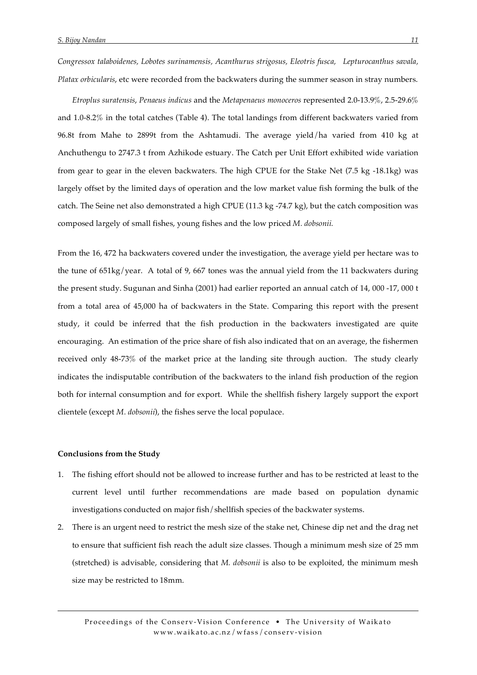*Congressox talaboidenes, Lobotes surinamensis, Acanthurus strigosus, Eleotris fusca, Lepturocanthus savala, Platax orbicularis*, etc were recorded from the backwaters during the summer season in stray numbers.

*Etroplus suratensis*, *Penaeus indicus* and the *Metapenaeus monoceros* represented 2.0-13.9%, 2.5-29.6% and 1.0-8.2% in the total catches (Table 4). The total landings from different backwaters varied from 96.8t from Mahe to 2899t from the Ashtamudi. The average yield/ha varied from 410 kg at Anchuthengu to 2747.3 t from Azhikode estuary. The Catch per Unit Effort exhibited wide variation from gear to gear in the eleven backwaters. The high CPUE for the Stake Net (7.5 kg -18.1kg) was largely offset by the limited days of operation and the low market value fish forming the bulk of the catch. The Seine net also demonstrated a high CPUE (11.3 kg -74.7 kg), but the catch composition was composed largely of small fishes, young fishes and the low priced *M. dobsonii.*

From the 16, 472 ha backwaters covered under the investigation, the average yield per hectare was to the tune of 651kg/year. A total of 9, 667 tones was the annual yield from the 11 backwaters during the present study. Sugunan and Sinha (2001) had earlier reported an annual catch of 14, 000 -17, 000 t from a total area of 45,000 ha of backwaters in the State. Comparing this report with the present study, it could be inferred that the fish production in the backwaters investigated are quite encouraging. An estimation of the price share of fish also indicated that on an average, the fishermen received only 48-73% of the market price at the landing site through auction. The study clearly indicates the indisputable contribution of the backwaters to the inland fish production of the region both for internal consumption and for export. While the shellfish fishery largely support the export clientele (except *M. dobsonii*), the fishes serve the local populace.

#### **Conclusions from the Study**

- 1. The fishing effort should not be allowed to increase further and has to be restricted at least to the current level until further recommendations are made based on population dynamic investigations conducted on major fish/shellfish species of the backwater systems.
- 2. There is an urgent need to restrict the mesh size of the stake net, Chinese dip net and the drag net to ensure that sufficient fish reach the adult size classes. Though a minimum mesh size of 25 mm (stretched) is advisable, considering that *M. dobsonii* is also to be exploited, the minimum mesh size may be restricted to 18mm.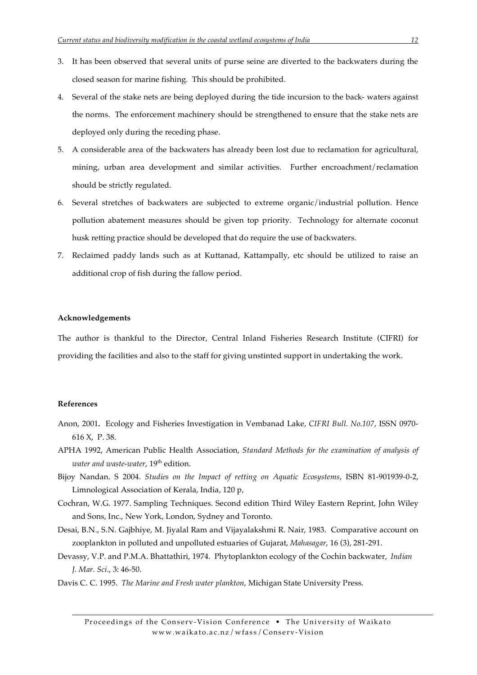- 3. It has been observed that several units of purse seine are diverted to the backwaters during the closed season for marine fishing. This should be prohibited.
- 4. Several of the stake nets are being deployed during the tide incursion to the back- waters against the norms. The enforcement machinery should be strengthened to ensure that the stake nets are deployed only during the receding phase.
- 5. A considerable area of the backwaters has already been lost due to reclamation for agricultural, mining, urban area development and similar activities. Further encroachment/reclamation should be strictly regulated.
- 6. Several stretches of backwaters are subjected to extreme organic/industrial pollution. Hence pollution abatement measures should be given top priority. Technology for alternate coconut husk retting practice should be developed that do require the use of backwaters.
- 7. Reclaimed paddy lands such as at Kuttanad, Kattampally, etc should be utilized to raise an additional crop of fish during the fallow period.

# **Acknowledgements**

The author is thankful to the Director, Central Inland Fisheries Research Institute (CIFRI) for providing the facilities and also to the staff for giving unstinted support in undertaking the work.

## **References**

- Anon, 2001**.** Ecology and Fisheries Investigation in Vembanad Lake, *CIFRI Bull. No.107*, ISSN 0970- 616 X, P. 38.
- APHA 1992, American Public Health Association, *Standard Methods for the examination of analysis of water and waste-water*, 19<sup>th</sup> edition.
- Bijoy Nandan. S 2004. *Studies on the Impact of retting on Aquatic Ecosystems*, ISBN 81-901939-0-2, Limnological Association of Kerala, India, 120 p,
- Cochran, W.G. 1977. Sampling Techniques. Second edition Third Wiley Eastern Reprint, John Wiley and Sons, Inc., New York, London, Sydney and Toronto.
- Desai, B.N., S.N. Gajbhiye, M. Jiyalal Ram and Vijayalakshmi R. Nair, 1983. Comparative account on zooplankton in polluted and unpolluted estuaries of Gujarat, *Mahasagar*, 16 (3), 281-291.
- Devassy, V.P. and P.M.A. Bhattathiri, 1974. Phytoplankton ecology of the Cochin backwater, *Indian J. Mar. Sci*., 3: 46-50.
- Davis C. C. 1995. *The Marine and Fresh water plankton*, Michigan State University Press.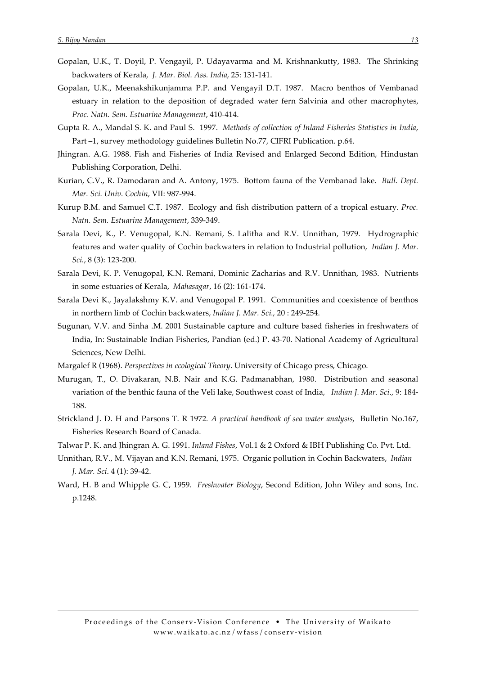- Gopalan, U.K., T. Doyil, P. Vengayil, P. Udayavarma and M. Krishnankutty, 1983. The Shrinking backwaters of Kerala, J. Mar. Biol. Ass. India, 25: 131-141.
- Gopalan, U.K., Meenakshikunjamma P.P. and Vengayil D.T. 1987. Macro benthos of Vembanad estuary in relation to the deposition of degraded water fern Salvinia and other macrophytes, Proc. Natn. Sem. Estuarine Management, 410-414.
- Gupta R. A., Mandal S. K. and Paul S. 1997. Methods of collection of Inland Fisheries Statistics in India, Part -1, survey methodology guidelines Bulletin No.77, CIFRI Publication. p.64.
- Jhingran. A.G. 1988. Fish and Fisheries of India Revised and Enlarged Second Edition, Hindustan Publishing Corporation, Delhi.
- Kurian, C.V., R. Damodaran and A. Antony, 1975. Bottom fauna of the Vembanad lake. Bull. Dept. Mar. Sci. Univ. Cochin, VII: 987-994.
- Kurup B.M. and Samuel C.T. 1987. Ecology and fish distribution pattern of a tropical estuary. Proc. Natn. Sem. Estuarine Management, 339-349.
- Sarala Devi, K., P. Venugopal, K.N. Remani, S. Lalitha and R.V. Unnithan, 1979. Hydrographic features and water quality of Cochin backwaters in relation to Industrial pollution, Indian J. Mar. Sci., 8 (3): 123-200.
- Sarala Devi, K. P. Venugopal, K.N. Remani, Dominic Zacharias and R.V. Unnithan, 1983. Nutrients in some estuaries of Kerala, Mahasagar, 16 (2): 161-174.
- Sarala Devi K., Jayalakshmy K.V. and Venugopal P. 1991. Communities and coexistence of benthos in northern limb of Cochin backwaters, Indian J. Mar. Sci., 20:249-254.
- Sugunan, V.V. and Sinha .M. 2001 Sustainable capture and culture based fisheries in freshwaters of India, In: Sustainable Indian Fisheries, Pandian (ed.) P. 43-70. National Academy of Agricultural Sciences, New Delhi.
- Margalef R (1968). Perspectives in ecological Theory. University of Chicago press, Chicago.
- Murugan, T., O. Divakaran, N.B. Nair and K.G. Padmanabhan, 1980. Distribution and seasonal variation of the benthic fauna of the Veli lake, Southwest coast of India, *Indian J. Mar. Sci.*, 9: 184-188.
- Strickland J. D. H and Parsons T. R 1972. A practical handbook of sea water analysis, Bulletin No.167, Fisheries Research Board of Canada.
- Talwar P. K. and Jhingran A. G. 1991. Inland Fishes, Vol.1 & 2 Oxford & IBH Publishing Co. Pvt. Ltd.
- Unnithan, R.V., M. Vijayan and K.N. Remani, 1975. Organic pollution in Cochin Backwaters, Indian J. Mar. Sci. 4 (1): 39-42.
- Ward, H. B and Whipple G. C, 1959. Freshwater Biology, Second Edition, John Wiley and sons, Inc. p.1248.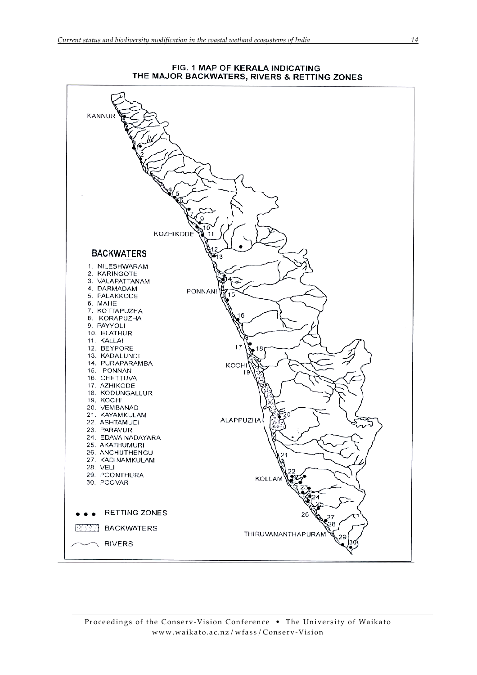

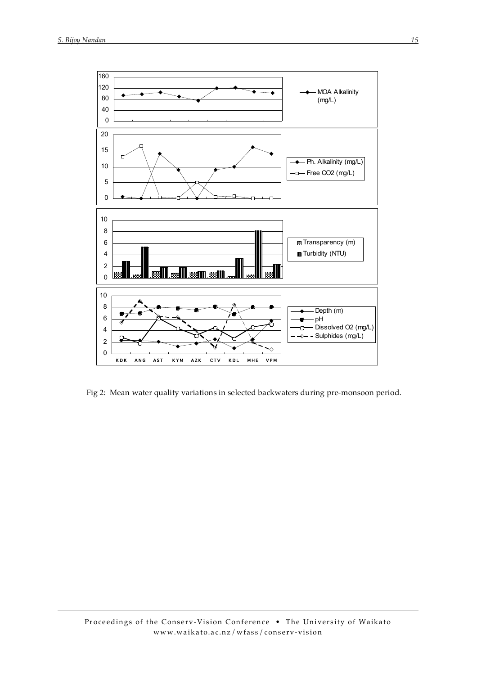

Fig 2: Mean water quality variations in selected backwaters during pre-monsoon period.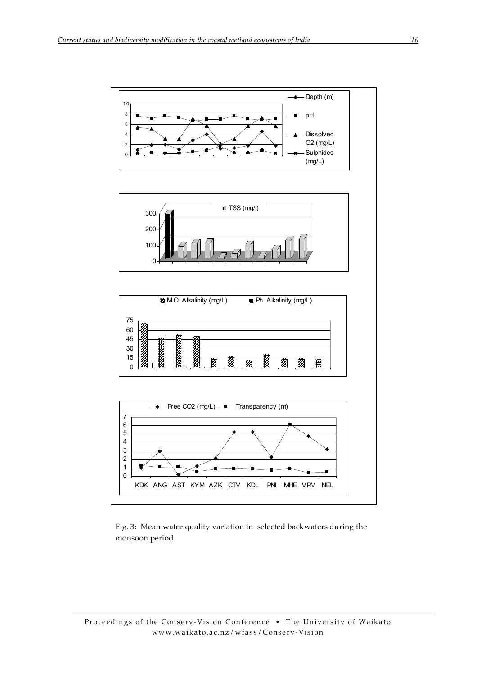

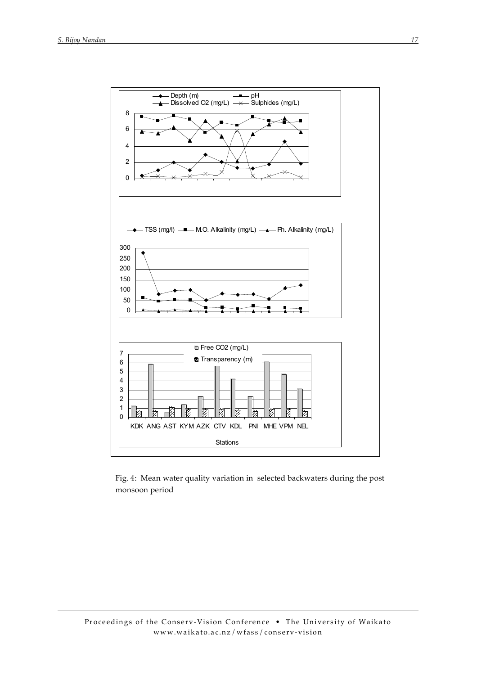

Fig. 4: Mean water quality variation in selected backwaters during the post monsoon period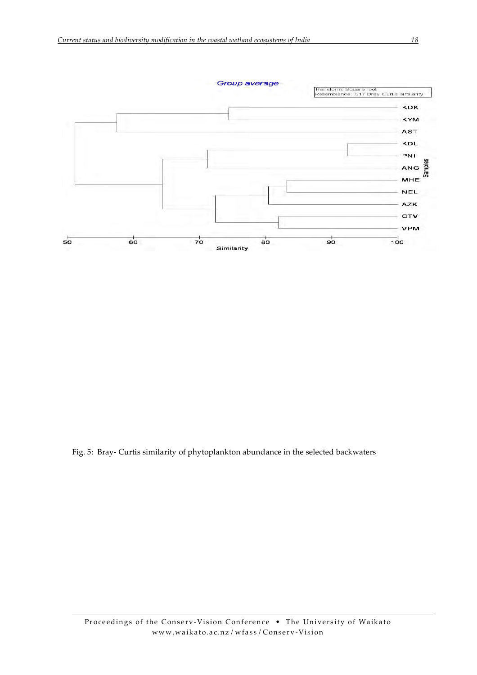

Fig. 5: Bray- Curtis similarity of phytoplankton abundance in the selected backwaters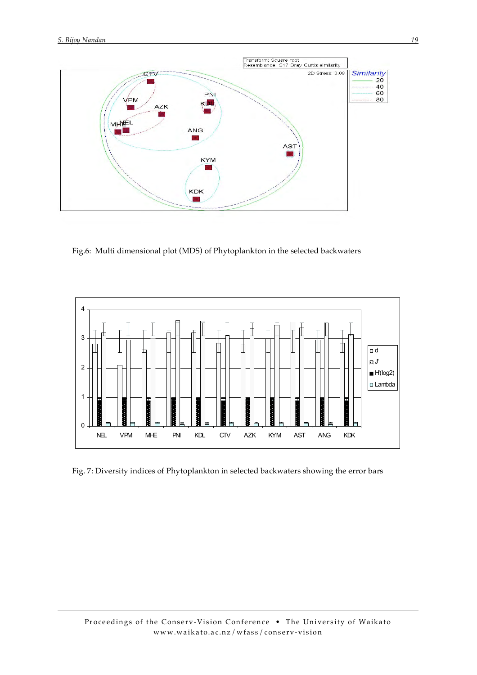

Fig.6: Multi dimensional plot (MDS) of Phytoplankton in the selected backwaters



Fig. 7: Diversity indices of Phytoplankton in selected backwaters showing the error bars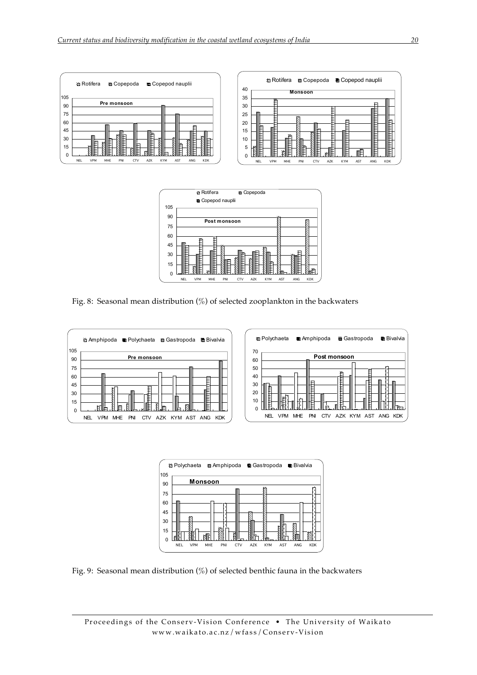| 105      | <b><sup>22</sup> Rotifera</b><br>$\blacksquare$ Copepoda<br>Copepod nauplii      | iži Rotifera ■ Copepoda ■ Copepod nauplii<br>40<br><b>Monsoon</b>                            |
|----------|----------------------------------------------------------------------------------|----------------------------------------------------------------------------------------------|
| 90       | Pre monsoon                                                                      | 35<br>30                                                                                     |
| 75       |                                                                                  | 25<br>ø                                                                                      |
| 60       |                                                                                  | 目<br>20<br>F                                                                                 |
| 45<br>30 | Ë<br>F<br>⊟<br>÷.<br>⊢                                                           | 15<br>E<br>-0<br>10                                                                          |
| 15       | 日<br>目<br>€<br>E<br>₽<br>F<br>⊟<br>₽<br>⊨<br>⊫                                   | E<br>−<br>5                                                                                  |
| C        | MHE<br>AST<br>ANG<br><b>VPM</b><br>PNI<br>AZK<br><b>KYM</b><br>CTV<br><b>NEL</b> |                                                                                              |
|          | KDK                                                                              | 呾<br>KDK<br><b>KYM</b><br><b>VPM</b><br>MHE<br>AST<br>ANG<br><b>NEL</b><br>AZK<br>PNI<br>CTV |



Fig. 8: Seasonal mean distribution (%) of selected zooplankton in the backwaters







Fig. 9: Seasonal mean distribution (%) of selected benthic fauna in the backwaters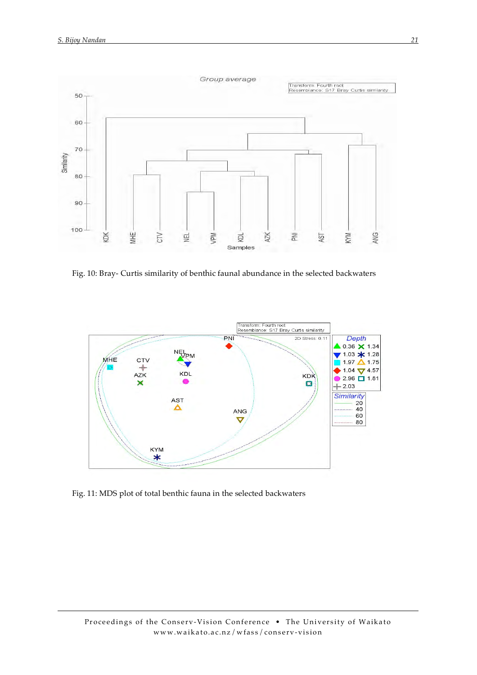

Fig. 10: Bray- Curtis similarity of benthic faunal abundance in the selected backwaters



Fig. 11: MDS plot of total benthic fauna in the selected backwaters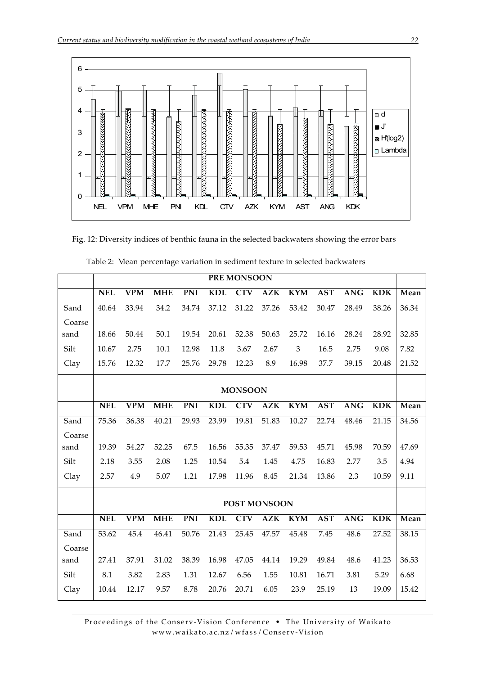

Fig. 12: Diversity indices of benthic fauna in the selected backwaters showing the error bars

|        |            |                         |            |            |            | <b>PREMONSOON</b> |                  |                |            |            |            |       |
|--------|------------|-------------------------|------------|------------|------------|-------------------|------------------|----------------|------------|------------|------------|-------|
|        | <b>NEL</b> | $\overline{\text{VPM}}$ | <b>MHE</b> | <b>PNI</b> | <b>KDL</b> | <b>CTV</b>        | <b>AZK</b>       | <b>KYM</b>     | <b>AST</b> | <b>ANG</b> | <b>KDK</b> | Mean  |
| Sand   | 40.64      | 33.94                   | 34.2       | 34.74      | 37.12      | 31.22             | 37.26            | 53.42          | 30.47      | 28.49      | 38.26      | 36.34 |
| Coarse |            |                         |            |            |            |                   |                  |                |            |            |            |       |
| sand   | 18.66      | 50.44                   | 50.1       | 19.54      | 20.61      | 52.38             | 50.63            | 25.72          | 16.16      | 28.24      | 28.92      | 32.85 |
| Silt   | 10.67      | 2.75                    | 10.1       | 12.98      | 11.8       | 3.67              | 2.67             | $\mathfrak{Z}$ | 16.5       | 2.75       | 9.08       | 7.82  |
| Clay   | 15.76      | 12.32                   | 17.7       | 25.76      | 29.78      | 12.23             | 8.9              | 16.98          | 37.7       | 39.15      | 20.48      | 21.52 |
|        |            |                         |            |            |            | <b>MONSOON</b>    |                  |                |            |            |            |       |
|        | <b>NEL</b> | VPM                     | <b>MHE</b> | <b>PNI</b> | <b>KDL</b> | <b>CTV</b>        | $\overline{AZK}$ | <b>KYM</b>     | <b>AST</b> | <b>ANG</b> | <b>KDK</b> | Mean  |
|        |            |                         |            |            |            |                   |                  |                |            |            |            |       |
| Sand   | 75.36      | 36.38                   | 40.21      | 29.93      | 23.99      | 19.81             | 51.83            | 10.27          | 22.74      | 48.46      | 21.15      | 34.56 |
| Coarse |            |                         |            |            |            |                   |                  |                |            |            |            |       |
| sand   | 19.39      | 54.27                   | 52.25      | 67.5       | 16.56      | 55.35             | 37.47            | 59.53          | 45.71      | 45.98      | 70.59      | 47.69 |
| Silt   | 2.18       | 3.55                    | 2.08       | 1.25       | 10.54      | 5.4               | 1.45             | 4.75           | 16.83      | 2.77       | 3.5        | 4.94  |
| Clay   | 2.57       | 4.9                     | 5.07       | 1.21       | 17.98      | 11.96             | 8.45             | 21.34          | 13.86      | 2.3        | 10.59      | 9.11  |
|        |            |                         |            |            |            | POST MONSOON      |                  |                |            |            |            |       |
|        | <b>NEL</b> | <b>VPM</b>              | <b>MHE</b> | <b>PNI</b> | <b>KDL</b> | <b>CTV</b>        |                  | <b>KYM</b>     | <b>AST</b> | <b>ANG</b> | <b>KDK</b> |       |
|        |            |                         |            |            |            |                   | <b>AZK</b>       |                |            |            |            | Mean  |
| Sand   | 53.62      | 45.4                    | 46.41      | 50.76      | 21.43      | 25.45             | 47.57            | 45.48          | 7.45       | 48.6       | 27.52      | 38.15 |
| Coarse |            |                         |            |            |            |                   |                  |                |            |            |            |       |
| sand   | 27.41      | 37.91                   | 31.02      | 38.39      | 16.98      | 47.05             | 44.14            | 19.29          | 49.84      | 48.6       | 41.23      | 36.53 |
| Silt   | 8.1        | 3.82                    | 2.83       | 1.31       | 12.67      | 6.56              | 1.55             | 10.81          | 16.71      | 3.81       | 5.29       | 6.68  |
| Clay   | 10.44      | 12.17                   | 9.57       | 8.78       | 20.76      | 20.71             | 6.05             | 23.9           | 25.19      | 13         | 19.09      | 15.42 |

Table 2: Mean percentage variation in sediment texture in selected backwaters

Proceedings of the Conserv-Vision Conference . The University of Waikato www.waikato.ac.nz/wfass/Conserv-Vision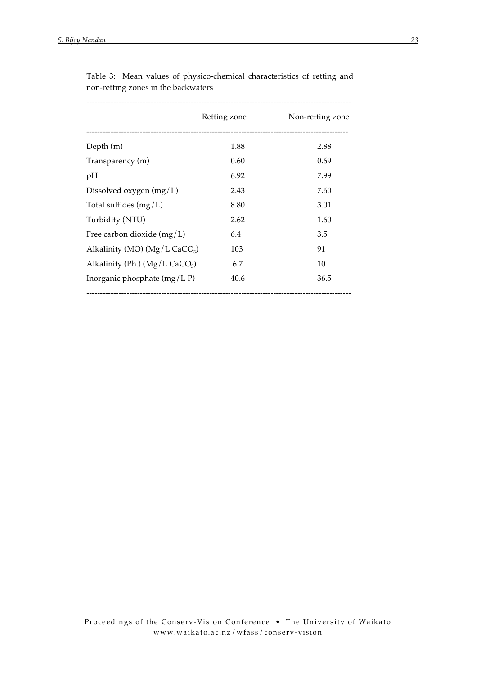|                                               | Retting zone | Non-retting zone |
|-----------------------------------------------|--------------|------------------|
| Depth $(m)$                                   | 1.88         | 2.88             |
| Transparency (m)                              | 0.60         | 0.69             |
| pH                                            | 6.92         | 7.99             |
| Dissolved oxygen $(mg/L)$                     | 2.43         | 7.60             |
| Total sulfides $(mg/L)$                       | 8.80         | 3.01             |
| Turbidity (NTU)                               | 2.62         | 1.60             |
| Free carbon dioxide $(mg/L)$                  | 6.4          | 3.5              |
| Alkalinity (MO) ( $Mg/L$ CaCO <sub>3</sub> )  | 103          | 91               |
| Alkalinity (Ph.) ( $Mg/L$ CaCO <sub>3</sub> ) | 6.7          | 10               |
| Inorganic phosphate $(mg/LP)$                 | 40.6         | 36.5             |
|                                               |              |                  |

Table 3: Mean values of physico-chemical characteristics of retting and non-retting zones in the backwaters